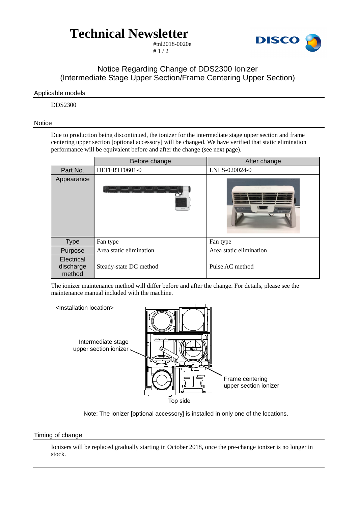# **Technical Newsletter**



#tnl2018-0020e  $# 1 / 2$ 

### Notice Regarding Change of DDS2300 Ionizer (Intermediate Stage Upper Section/Frame Centering Upper Section)

### Applicable models

DDS2300

#### **Notice**

Due to production being discontinued, the ionizer for the intermediate stage upper section and frame centering upper section [optional accessory] will be changed. We have verified that static elimination performance will be equivalent before and after the change (see next page).

|                                   | Before change           | After change            |  |  |
|-----------------------------------|-------------------------|-------------------------|--|--|
| Part No.                          | DEFERTF0601-0           | LNLS-020024-0           |  |  |
| Appearance                        |                         | <b><i>KEYENCI</i></b>   |  |  |
| <b>Type</b>                       | Fan type                | Fan type                |  |  |
| Purpose                           | Area static elimination | Area static elimination |  |  |
| Electrical<br>discharge<br>method | Steady-state DC method  | Pulse AC method         |  |  |

The ionizer maintenance method will differ before and after the change. For details, please see the maintenance manual included with the machine.





#### Timing of change

Ionizers will be replaced gradually starting in October 2018, once the pre-change ionizer is no longer in stock.